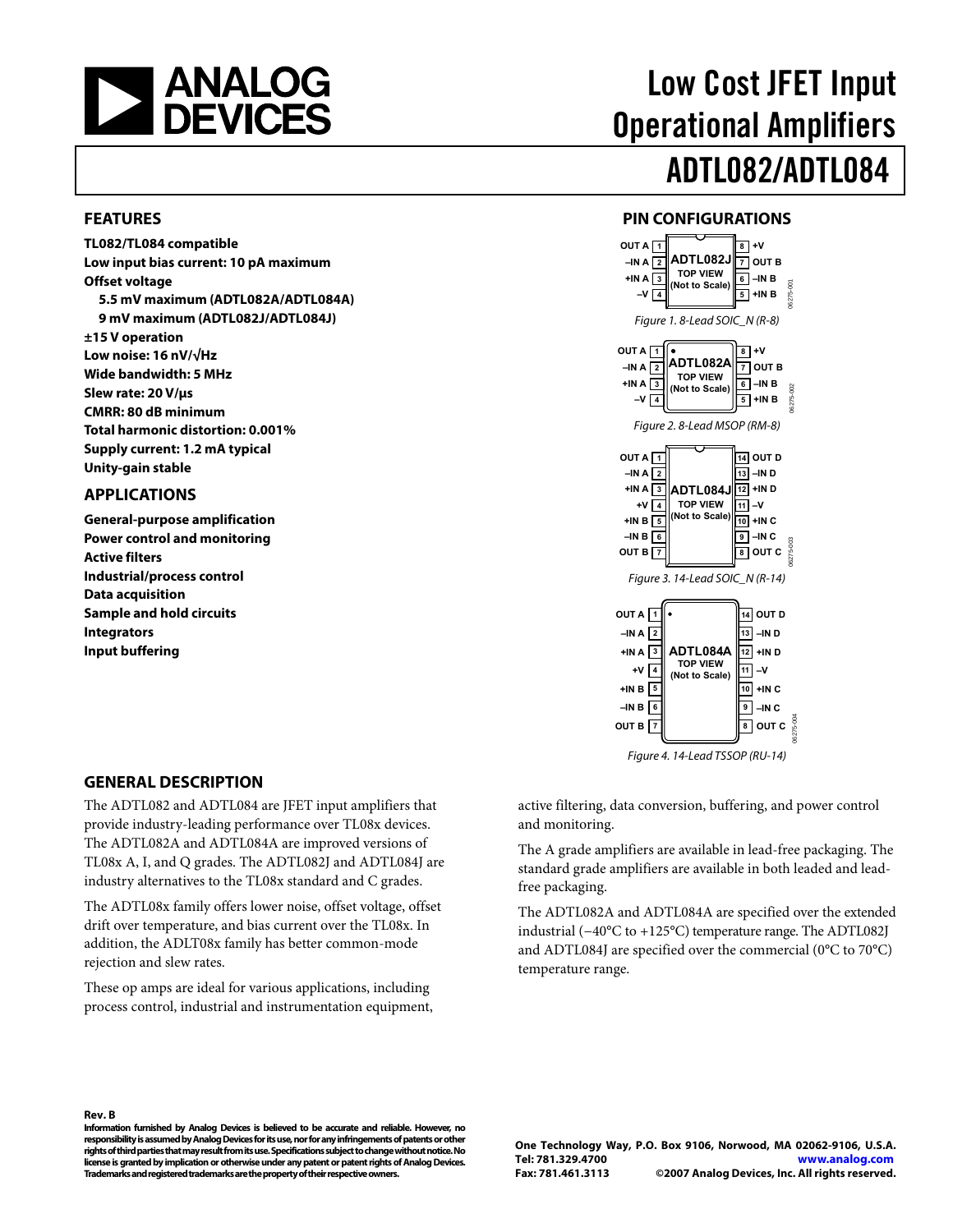<span id="page-0-0"></span>

#### **FEATURES**

**TL082/TL084 compatible Low input bias current: 10 pA maximum Offset voltage 5.5 mV maximum (ADTL082A/ADTL084A) 9 mV maximum (ADTL082J/ADTL084J) ±15 V operation Low noise: 16 nV/√Hz Wide bandwidth: 5 MHz Slew rate: 20 V/μs CMRR: 80 dB minimum Total harmonic distortion: 0.001% Supply current: 1.2 mA typical Unity-gain stable** 

#### **APPLICATIONS**

**General-purpose amplification Power control and monitoring Active filters Industrial/process control Data acquisition Sample and hold circuits Integrators Input buffering** 

# Low Cost JFET Input Operational Amplifiers ADTL082/ADTL084

#### **PIN CONFIGURATIONS**



Figure 4. 14-Lead TSSOP (RU-14)

#### **GENERAL DESCRIPTION**

The ADTL082 and ADTL084 are JFET input amplifiers that provide industry-leading performance over TL08x devices. The ADTL082A and ADTL084A are improved versions of TL08x A, I, and Q grades. The ADTL082J and ADTL084J are industry alternatives to the TL08x standard and C grades.

The ADTL08x family offers lower noise, offset voltage, offset drift over temperature, and bias current over the TL08x. In addition, the ADLT08x family has better common-mode rejection and slew rates.

These op amps are ideal for various applications, including process control, industrial and instrumentation equipment, active filtering, data conversion, buffering, and power control and monitoring.

The A grade amplifiers are available in lead-free packaging. The standard grade amplifiers are available in both leaded and leadfree packaging.

The ADTL082A and ADTL084A are specified over the extended industrial (−40°C to +125°C) temperature range. The ADTL082J and ADTL084J are specified over the commercial (0°C to 70°C) temperature range.

#### **Rev. B**

**Information furnished by Analog Devices is believed to be accurate and reliable. However, no responsibility is assumed by Analog Devices for its use, nor for any infringements of patents or other rights of third parties that may result from its use. Specifications subject to change without notice. No license is granted by implication or otherwise under any patent or patent rights of Analog Devices. Trademarks and registered trademarks are the property of their respective owners.**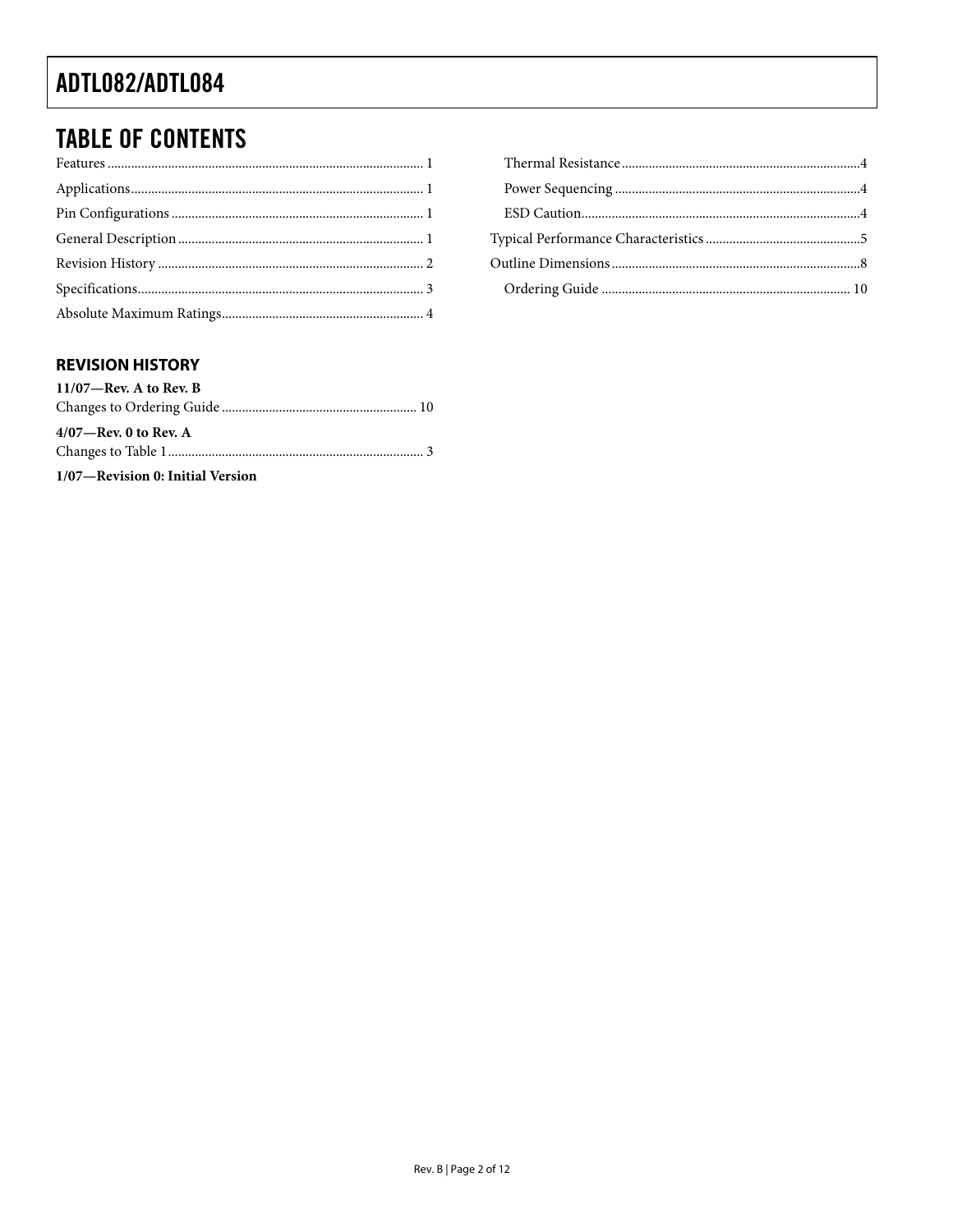### <span id="page-1-0"></span>**TABLE OF CONTENTS**

#### **REVISION HISTORY**

| $11/07$ —Rev. A to Rev. B        |  |
|----------------------------------|--|
|                                  |  |
| $4/07$ —Rev. 0 to Rev. A         |  |
|                                  |  |
| 1/07-Revision 0: Initial Version |  |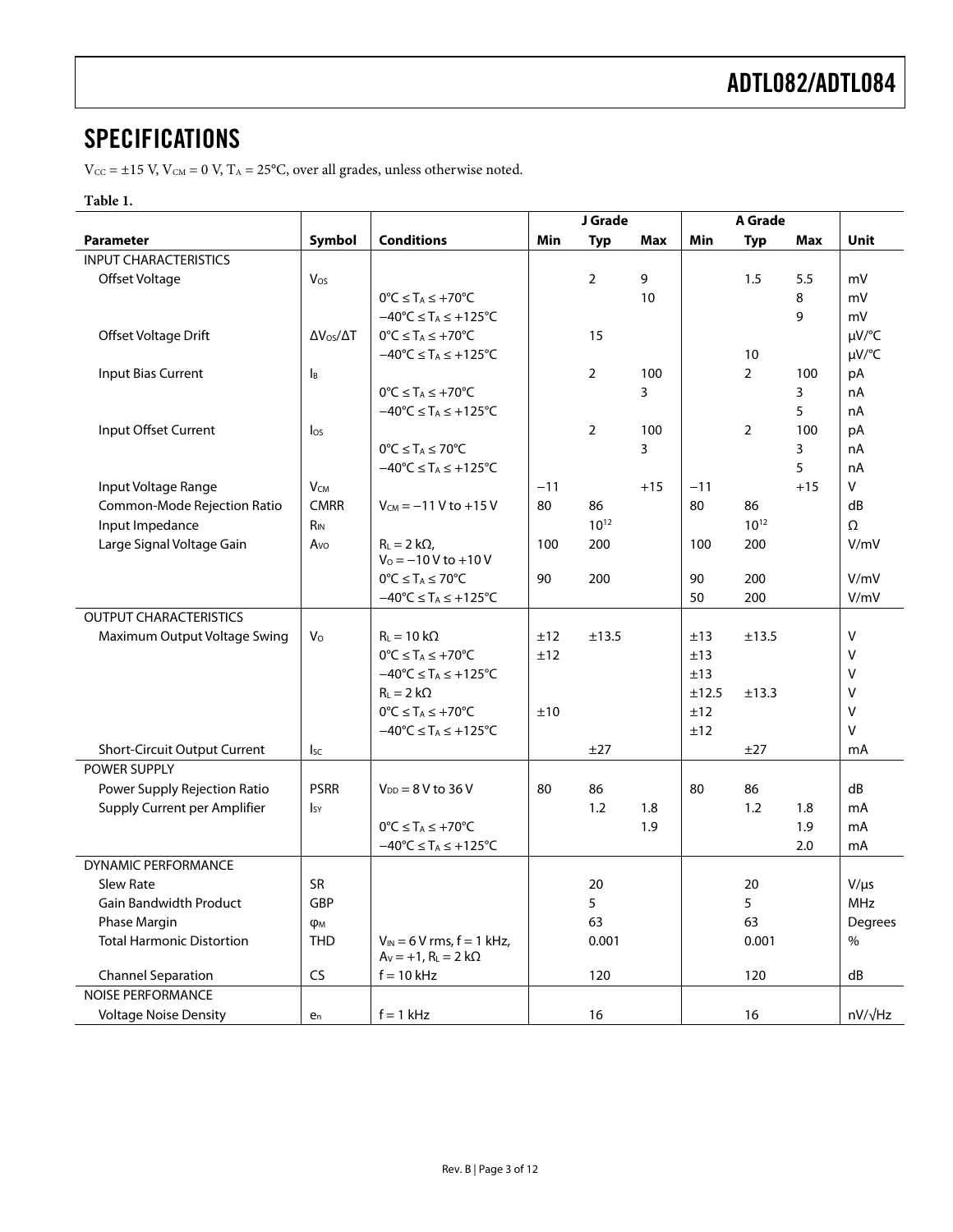### <span id="page-2-0"></span>**SPECIFICATIONS**

 $V_{\text{CC}} = \pm 15$  V,  $V_{\text{CM}} = 0$  V,  $T_A = 25$ °C, over all grades, unless otherwise noted.

#### **Table 1.**

|                                                |                           |                                            | J Grade |                 | <b>A</b> Grade |       |                 |       |                         |
|------------------------------------------------|---------------------------|--------------------------------------------|---------|-----------------|----------------|-------|-----------------|-------|-------------------------|
| <b>Parameter</b>                               | Symbol                    | <b>Conditions</b>                          | Min     | <b>Typ</b>      | Max            | Min   | <b>Typ</b>      | Max   | Unit                    |
| <b>INPUT CHARACTERISTICS</b>                   |                           |                                            |         |                 |                |       |                 |       |                         |
| Offset Voltage                                 | Vos                       |                                            |         | $\overline{2}$  | 9              |       | 1.5             | 5.5   | mV                      |
|                                                |                           | $0^{\circ}C \leq T_A \leq +70^{\circ}C$    |         |                 | 10             |       |                 | 8     | mV                      |
|                                                |                           | $-40^{\circ}C \leq T_A \leq +125^{\circ}C$ |         |                 |                |       |                 | 9     | mV                      |
| Offset Voltage Drift                           | $\Delta V_{OS}/\Delta T$  | $0^{\circ}C \leq T_A \leq +70^{\circ}C$    |         | 15              |                |       |                 |       | µV/°C                   |
|                                                |                           | $-40^{\circ}C \leq T_A \leq +125^{\circ}C$ |         |                 |                |       | 10              |       | µV/°C                   |
| <b>Input Bias Current</b>                      | $\mathsf{I}_{\mathsf{B}}$ |                                            |         | $\overline{2}$  | 100            |       | $\overline{2}$  | 100   | рA                      |
|                                                |                           | $0^{\circ}C \leq T_A \leq +70^{\circ}C$    |         |                 | 3              |       |                 | 3     | nA                      |
|                                                |                           | $-40^{\circ}C \leq T_A \leq +125^{\circ}C$ |         |                 |                |       |                 | 5     | nA                      |
| Input Offset Current                           | $\log$                    |                                            |         | $\overline{2}$  | 100            |       | 2               | 100   | pA                      |
|                                                |                           | $0^{\circ}C \leq T_A \leq 70^{\circ}C$     |         |                 | 3              |       |                 | 3     | nA                      |
|                                                |                           | $-40^{\circ}C \leq T_A \leq +125^{\circ}C$ |         |                 |                |       |                 | 5     | nA<br>V                 |
| Input Voltage Range                            | $V_{CM}$<br><b>CMRR</b>   |                                            | $-11$   |                 | $+15$          | $-11$ |                 | $+15$ |                         |
| Common-Mode Rejection Ratio<br>Input Impedance | $R_{IN}$                  | $V_{CM} = -11 V$ to +15 V                  | 80      | 86<br>$10^{12}$ |                | 80    | 86<br>$10^{12}$ |       | dB<br>Ω                 |
| Large Signal Voltage Gain                      | Avo                       | $R_L = 2 k\Omega$ ,                        | 100     | 200             |                | 100   | 200             |       | V/mV                    |
|                                                |                           | $V_0 = -10 V$ to +10 V                     |         |                 |                |       |                 |       |                         |
|                                                |                           | $0^{\circ}C \leq T_A \leq 70^{\circ}C$     | 90      | 200             |                | 90    | 200             |       | V/mV                    |
|                                                |                           | $-40^{\circ}C \leq T_A \leq +125^{\circ}C$ |         |                 |                | 50    | 200             |       | V/mV                    |
| <b>OUTPUT CHARACTERISTICS</b>                  |                           |                                            |         |                 |                |       |                 |       |                         |
| Maximum Output Voltage Swing                   | V <sub>o</sub>            | $R_L = 10 k\Omega$                         | ±12     | ±13.5           |                | ±13   | ±13.5           |       | V                       |
|                                                |                           | $0^{\circ}C \leq T_A \leq +70^{\circ}C$    | ±12     |                 |                | ±13   |                 |       | $\vee$                  |
|                                                |                           | $-40^{\circ}C \leq T_A \leq +125^{\circ}C$ |         |                 |                | ±13   |                 |       | V                       |
|                                                |                           | $R_L = 2 k\Omega$                          |         |                 |                | ±12.5 | ±13.3           |       | V                       |
|                                                |                           | $0^{\circ}C \leq T_A \leq +70^{\circ}C$    | ±10     |                 |                | ±12   |                 |       | V                       |
|                                                |                           | $-40^{\circ}C \leq T_A \leq +125^{\circ}C$ |         |                 |                | ±12   |                 |       | $\vee$                  |
| <b>Short-Circuit Output Current</b>            | <b>I</b> sc               |                                            |         | ±27             |                |       | ±27             |       | mA                      |
| POWER SUPPLY                                   |                           |                                            |         |                 |                |       |                 |       |                         |
| Power Supply Rejection Ratio                   | <b>PSRR</b>               | $V_{DD} = 8 V$ to 36 V                     | 80      | 86              |                | 80    | 86              |       | dB                      |
| Supply Current per Amplifier                   | <b>I</b> sy               |                                            |         | 1.2             | 1.8            |       | 1.2             | 1.8   | mA                      |
|                                                |                           | $0^{\circ}C \leq T_A \leq +70^{\circ}C$    |         |                 | 1.9            |       |                 | 1.9   | $mA$                    |
|                                                |                           | $-40^{\circ}C \leq T_A \leq +125^{\circ}C$ |         |                 |                |       |                 | 2.0   | mA                      |
| DYNAMIC PERFORMANCE<br>Slew Rate               | <b>SR</b>                 |                                            |         | 20              |                |       | 20              |       |                         |
| <b>Gain Bandwidth Product</b>                  | GBP                       |                                            |         | 5               |                |       | 5               |       | $V/\mu s$<br><b>MHz</b> |
| Phase Margin                                   | Фм                        |                                            |         | 63              |                |       | 63              |       | Degrees                 |
| <b>Total Harmonic Distortion</b>               | <b>THD</b>                | $V_{IN}$ = 6 V rms, f = 1 kHz,             |         | 0.001           |                |       | 0.001           |       | %                       |
|                                                |                           | $A_V = +1$ , $R_L = 2 k\Omega$             |         |                 |                |       |                 |       |                         |
| <b>Channel Separation</b>                      | <b>CS</b>                 | $f = 10$ kHz                               |         | 120             |                |       | 120             |       | dB                      |
| <b>NOISE PERFORMANCE</b>                       |                           |                                            |         |                 |                |       |                 |       |                         |
| <b>Voltage Noise Density</b>                   | $e_n$                     | $f = 1$ kHz                                |         | 16              |                |       | 16              |       | $nV/\sqrt{Hz}$          |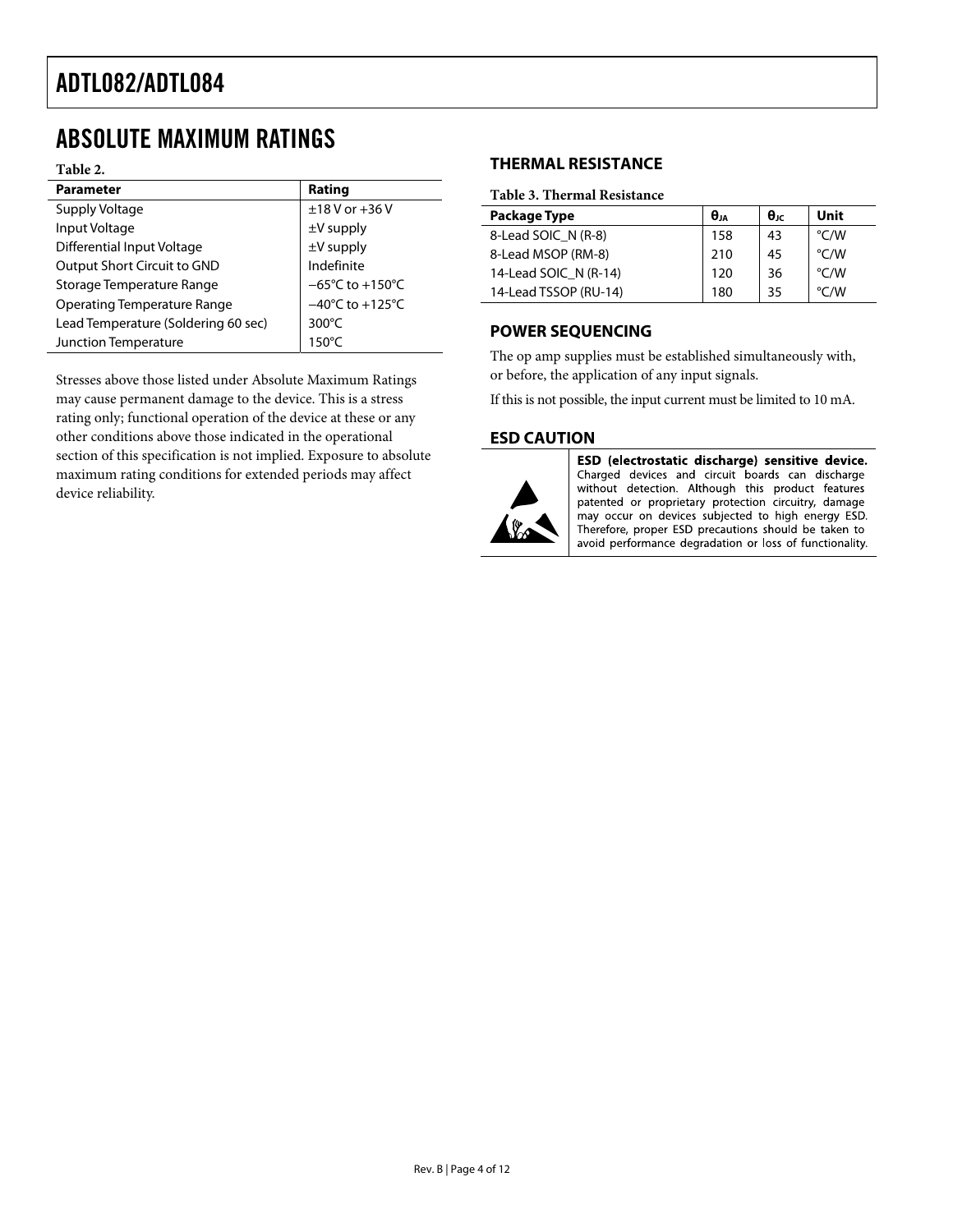### <span id="page-3-0"></span>ABSOLUTE MAXIMUM RATINGS

**Table 2.** 

| <b>Parameter</b>                    | Rating                               |
|-------------------------------------|--------------------------------------|
| Supply Voltage                      | $±18$ V or $+36$ V                   |
| Input Voltage                       | $\pm$ V supply                       |
| Differential Input Voltage          | $\pm V$ supply                       |
| Output Short Circuit to GND         | Indefinite                           |
| Storage Temperature Range           | $-65^{\circ}$ C to +150 $^{\circ}$ C |
| <b>Operating Temperature Range</b>  | $-40^{\circ}$ C to $+125^{\circ}$ C  |
| Lead Temperature (Soldering 60 sec) | $300^{\circ}$ C                      |
| Junction Temperature                | $150^{\circ}$ C                      |

Stresses above those listed under Absolute Maximum Ratings may cause permanent damage to the device. This is a stress rating only; functional operation of the device at these or any other conditions above those indicated in the operational section of this specification is not implied. Exposure to absolute maximum rating conditions for extended periods may affect device reliability.

#### **THERMAL RESISTANCE**

#### **Table 3. Thermal Resistance**

| Package Type          | $\theta_{JA}$ | $\theta_{\text{JC}}$ | Unit          |
|-----------------------|---------------|----------------------|---------------|
| 8-Lead SOIC N (R-8)   | 158           | 43                   | °C/W          |
| 8-Lead MSOP (RM-8)    | 210           | 45                   | °C/W          |
| 14-Lead SOIC N (R-14) | 120           | 36                   | °C/W          |
| 14-Lead TSSOP (RU-14) | 180           | 35                   | $\degree$ C/W |

#### **POWER SEQUENCING**

The op amp supplies must be established simultaneously with, or before, the application of any input signals.

If this is not possible, the input current must be limited to 10 mA.

#### **ESD CAUTION**



ESD (electrostatic discharge) sensitive device. Charged devices and circuit boards can discharge without detection. Although this product features patented or proprietary protection circuitry, damage may occur on devices subjected to high energy ESD. Therefore, proper ESD precautions should be taken to avoid performance degradation or loss of functionality.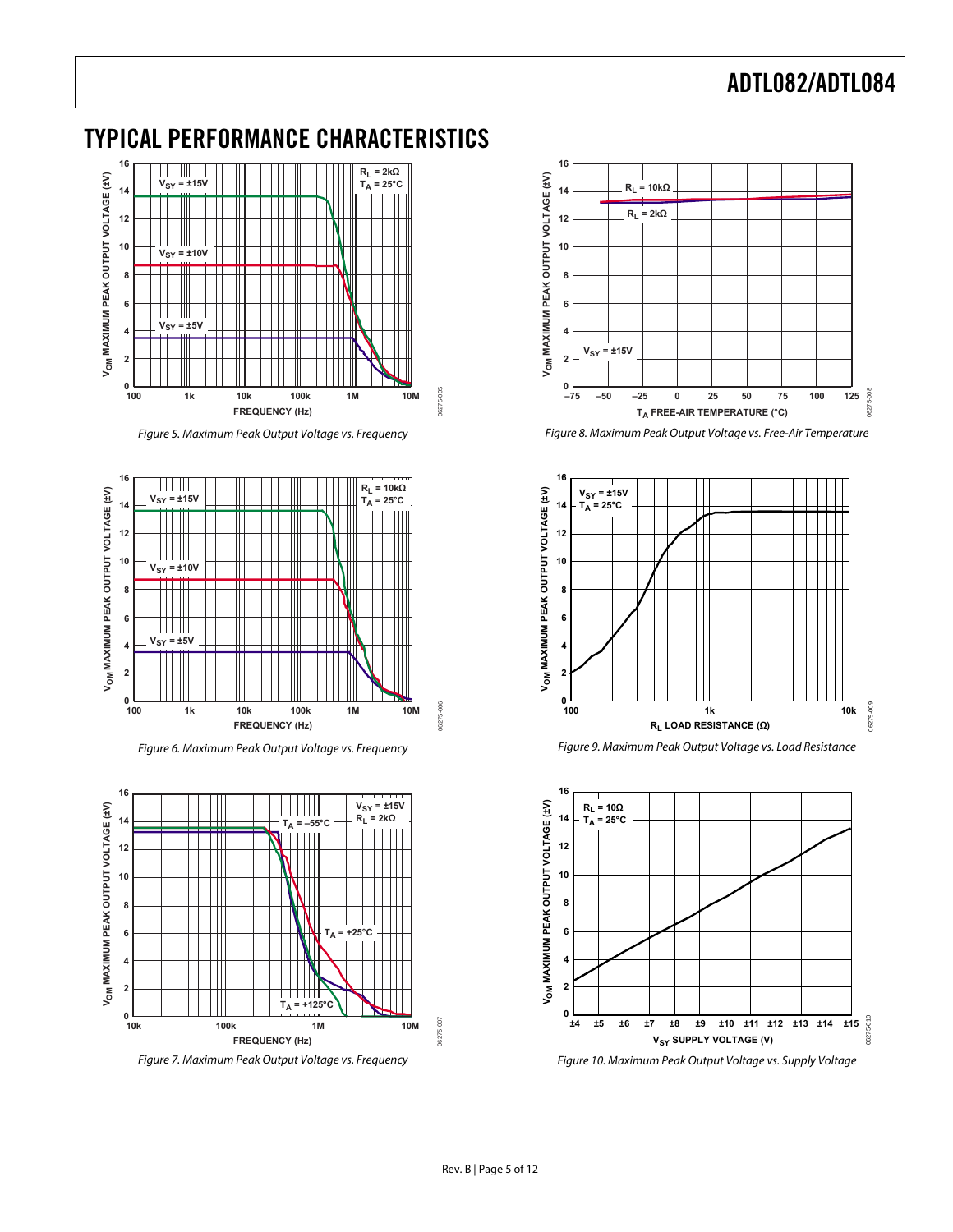### <span id="page-4-0"></span>TYPICAL PERFORMANCE CHARACTERISTICS



Figure 5. Maximum Peak Output Voltage vs. Frequency

06275-005

06275-005

06275-006

06275-007



Figure 6. Maximum Peak Output Voltage vs. Frequency



Figure 7. Maximum Peak Output Voltage vs. Frequency



Figure 8. Maximum Peak Output Voltage vs. Free-Air Temperature







Figure 10. Maximum Peak Output Voltage vs. Supply Voltage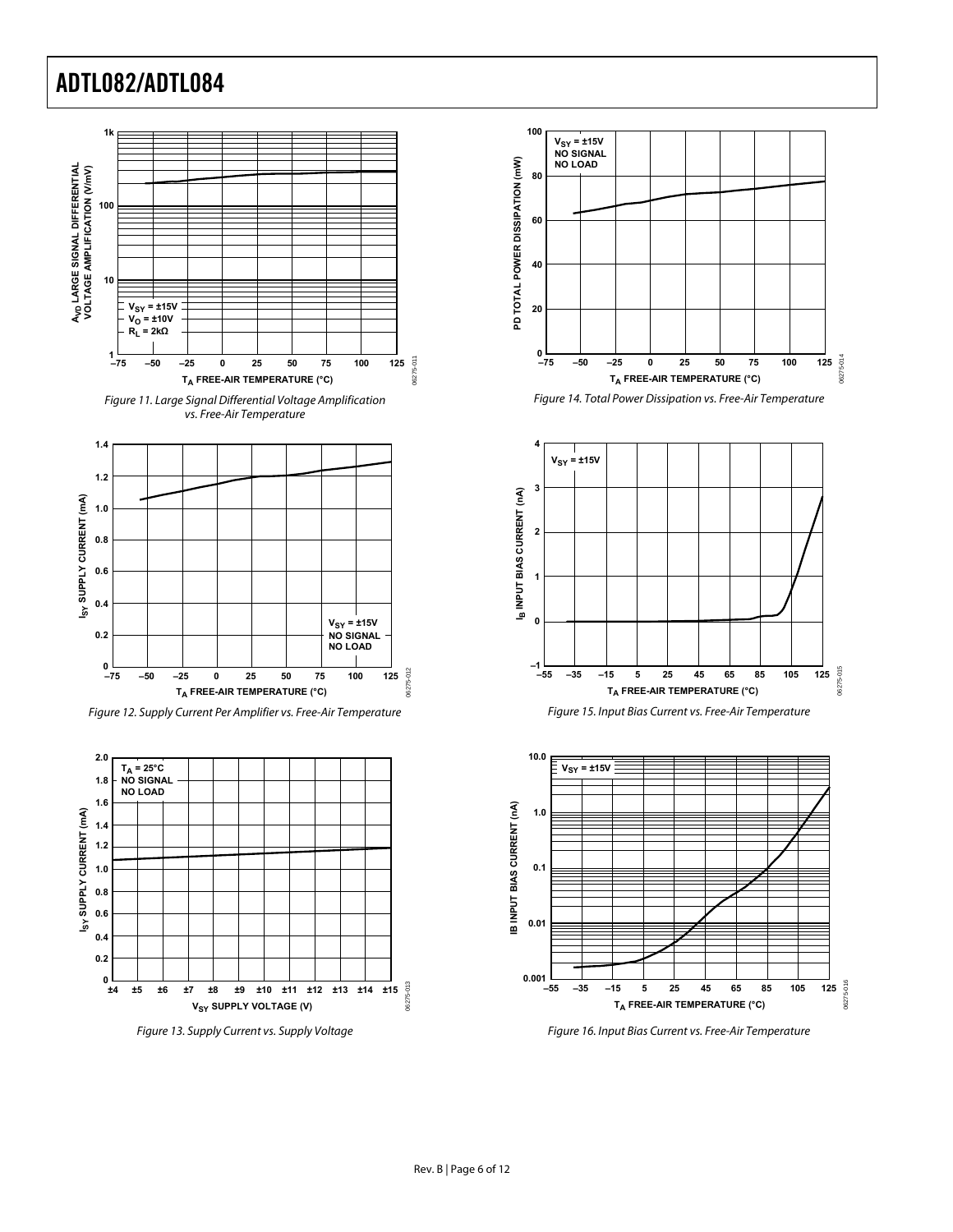





Figure 12. Supply Current Per Amplifier vs. Free-Air Temperature



Figure 13. Supply Current vs. Supply Voltage











Figure 16. Input Bias Current vs. Free-Air Temperature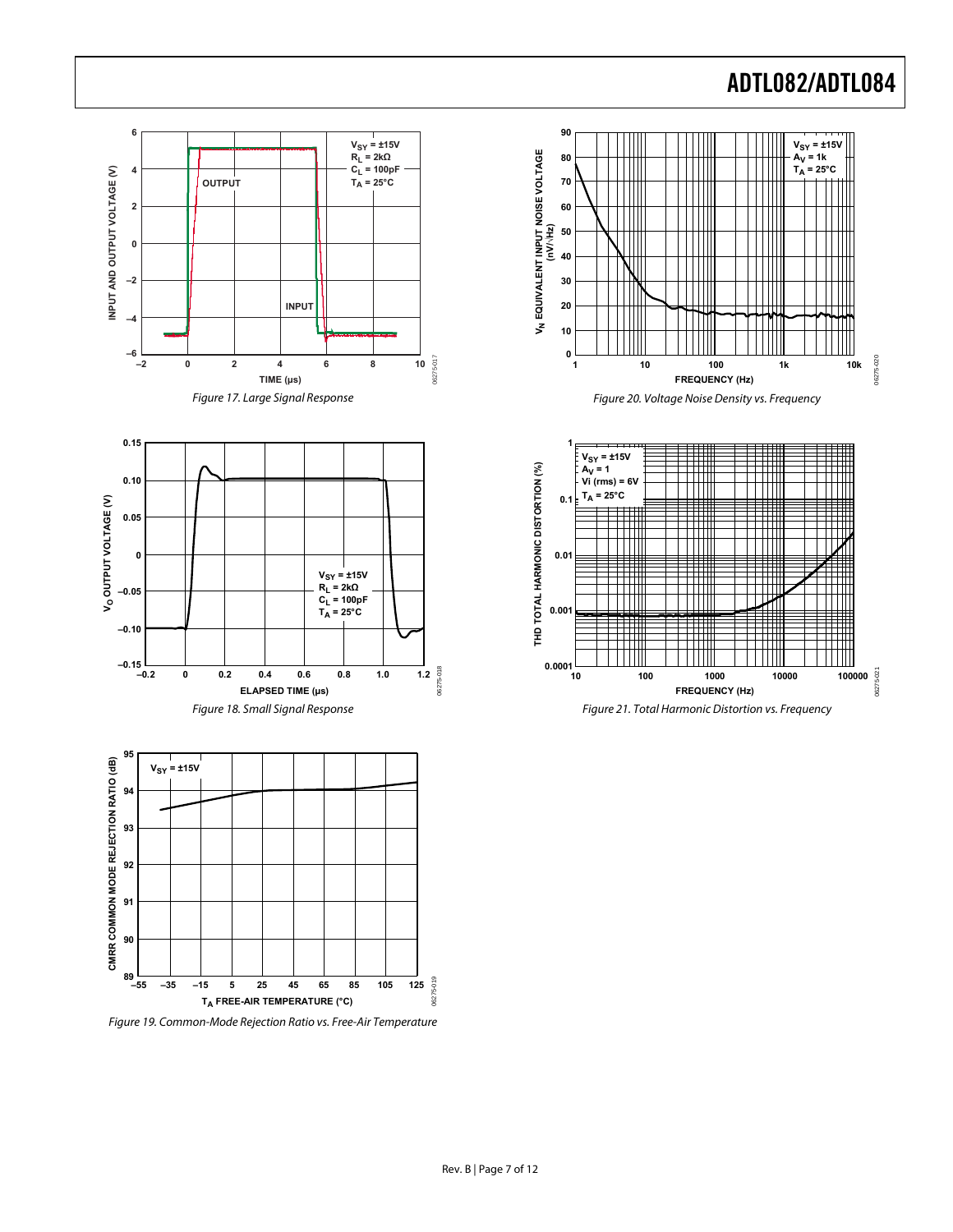$V_{SY} = \pm 15V$ **AV = 1k TA = 25°C**

06275-020

06275-020

06275-021

06275-021

 $\blacksquare$ 

Ш

**FREQUENCY (Hz)**

Ħ

 $\Box$ 

 $\Box$ 

Ш

Ш

**FREQUENCY (Hz)**

Ш

▀▛

H 111111



Figure 19. Common-Mode Rejection Ratio vs. Free-Air Temperature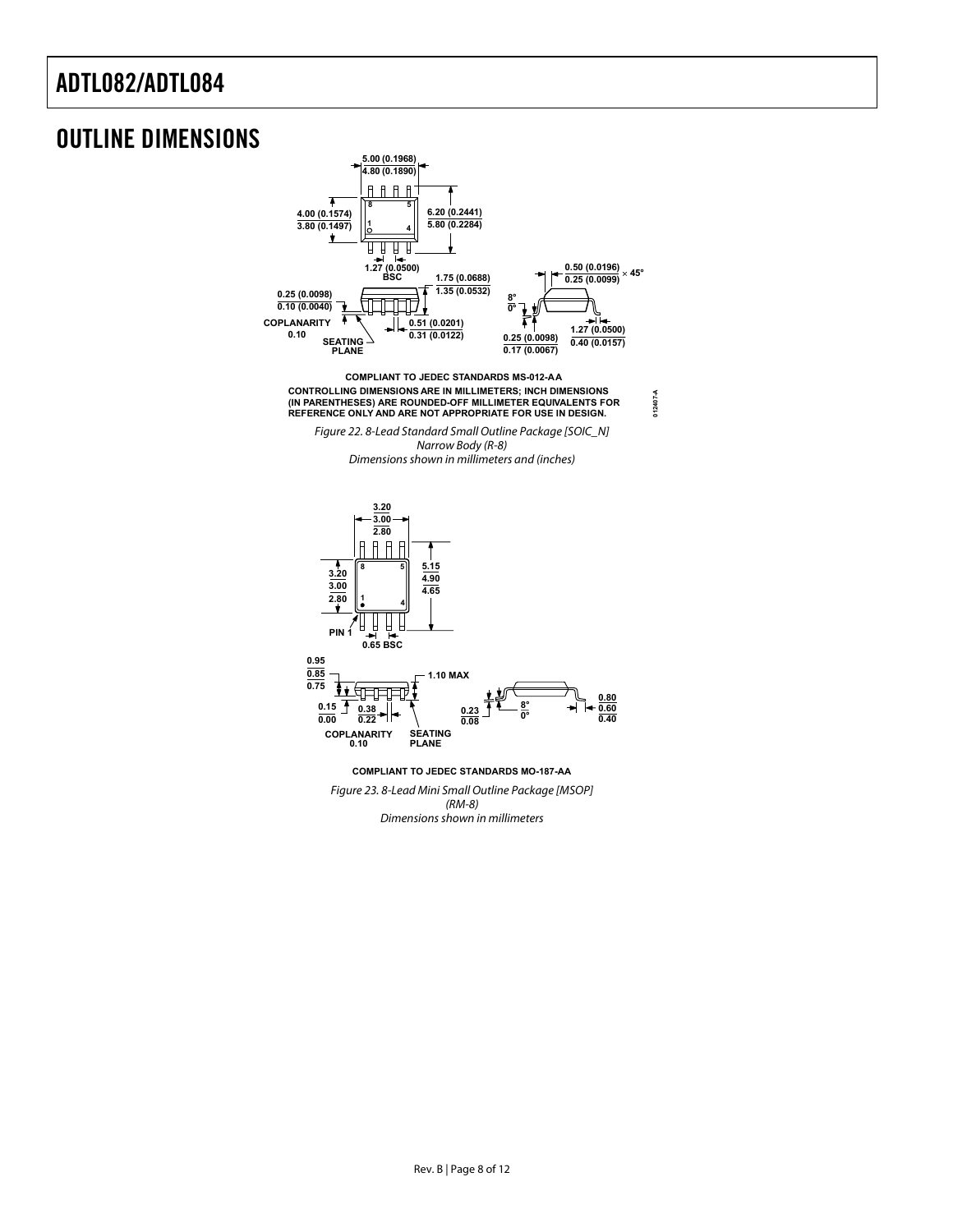### <span id="page-7-0"></span>OUTLINE DIMENSIONS



Dimensions shown in millimeters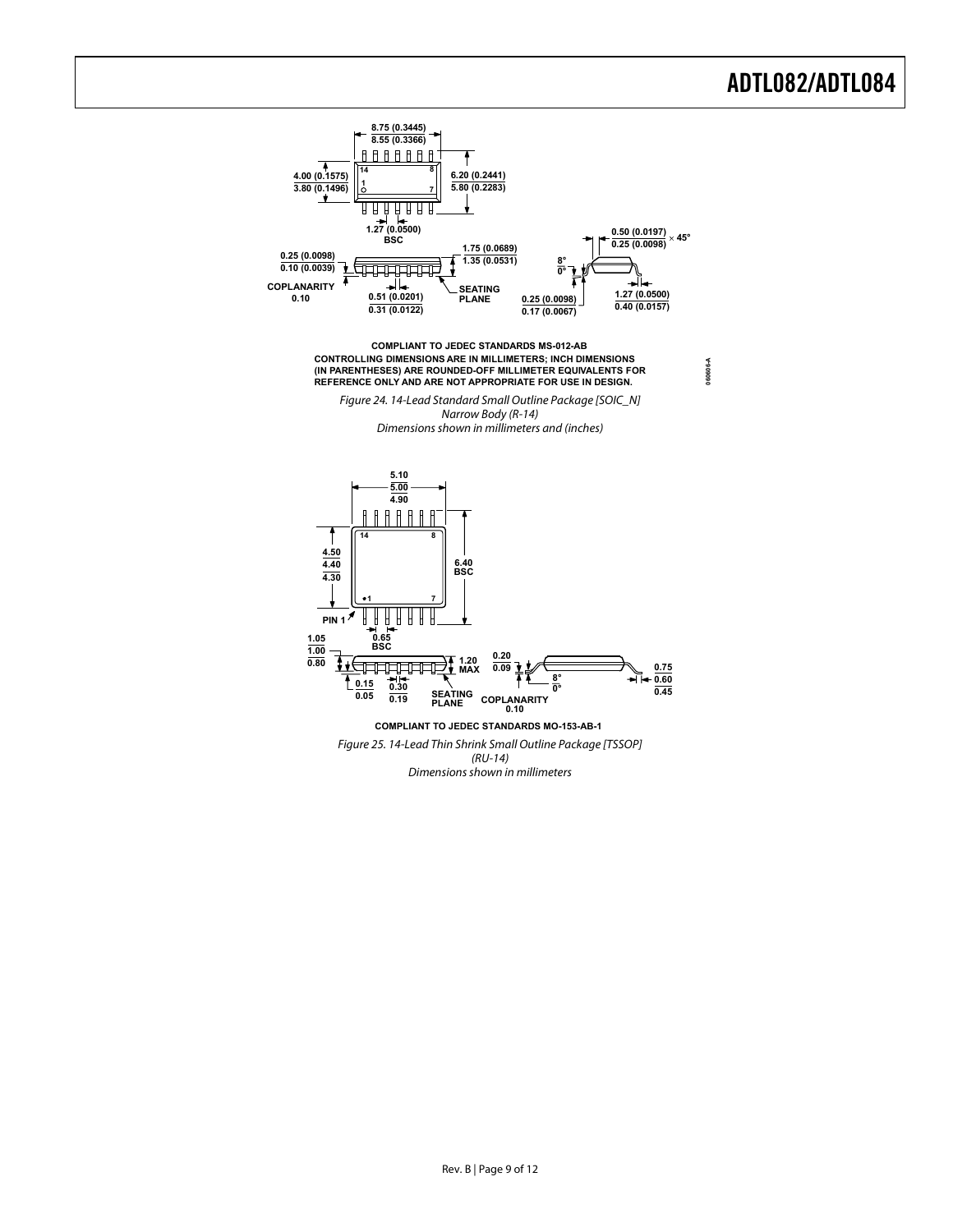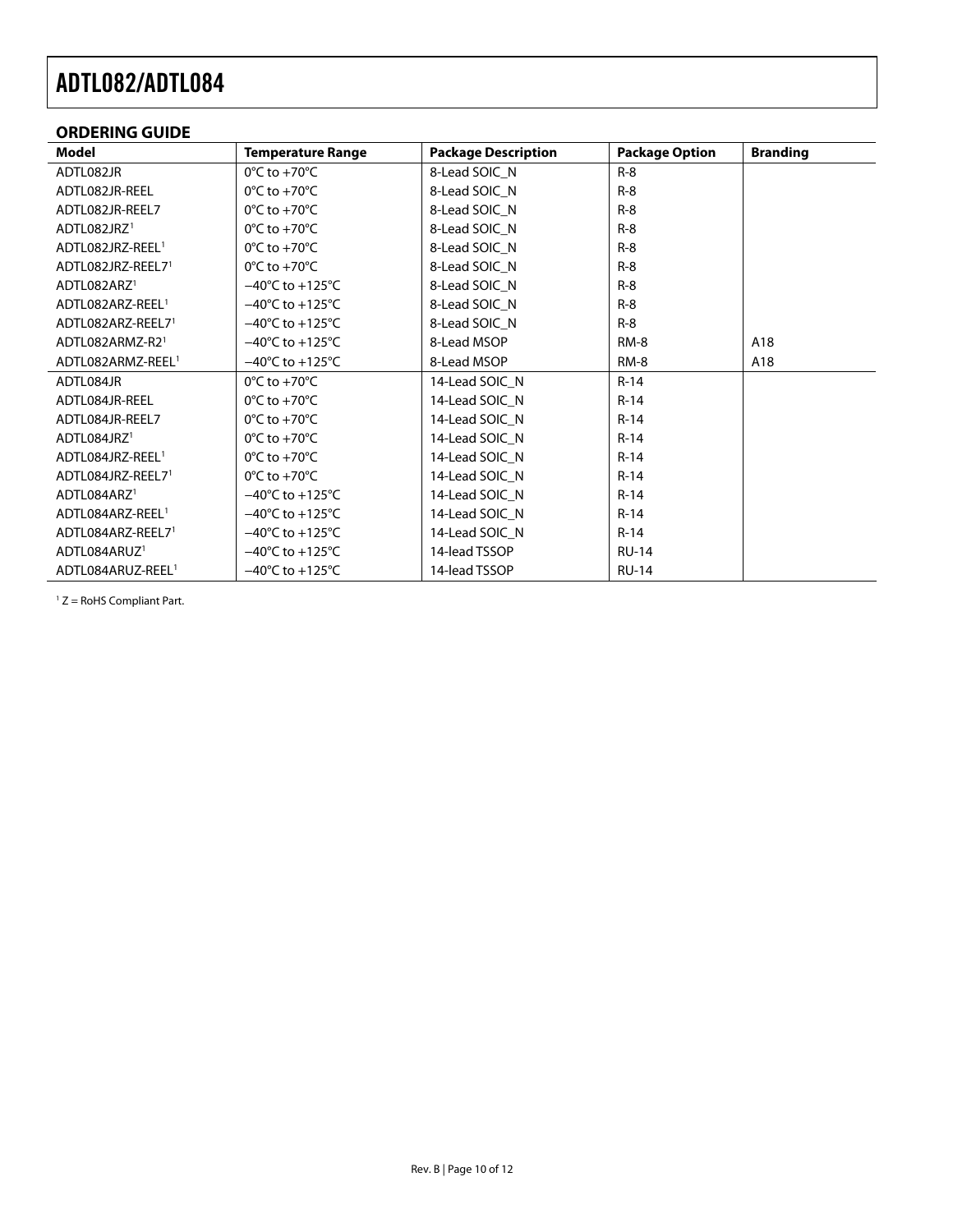### <span id="page-9-0"></span>**ORDERING GUIDE**

<span id="page-9-1"></span>

| Model                         | <b>Temperature Range</b>             | <b>Package Description</b> | <b>Package Option</b> | <b>Branding</b> |
|-------------------------------|--------------------------------------|----------------------------|-----------------------|-----------------|
| ADTL082JR                     | $0^{\circ}$ C to +70 $^{\circ}$ C    | 8-Lead SOIC_N              | $R-8$                 |                 |
| ADTL082JR-REEL                | $0^{\circ}$ C to +70 $^{\circ}$ C    | 8-Lead SOIC N              | $R-8$                 |                 |
| ADTL082JR-REEL7               | $0^{\circ}$ C to +70 $^{\circ}$ C    | 8-Lead SOIC N              | $R-8$                 |                 |
| ADTL082JRZ <sup>1</sup>       | $0^{\circ}$ C to +70 $^{\circ}$ C    | 8-Lead SOIC_N              | $R-8$                 |                 |
| ADTL082JRZ-REEL <sup>1</sup>  | $0^{\circ}$ C to +70 $^{\circ}$ C    | 8-Lead SOIC N              | $R-8$                 |                 |
| ADTL082JRZ-REEL71             | $0^{\circ}$ C to +70 $^{\circ}$ C    | 8-Lead SOIC N              | $R-8$                 |                 |
| ADTL082ARZ <sup>1</sup>       | $-40^{\circ}$ C to $+125^{\circ}$ C  | 8-Lead SOIC_N              | $R-8$                 |                 |
| ADTL082ARZ-REEL <sup>1</sup>  | $-40^{\circ}$ C to $+125^{\circ}$ C  | 8-Lead SOIC N              | $R-8$                 |                 |
| ADTL082ARZ-REEL71             | $-40^{\circ}$ C to $+125^{\circ}$ C  | 8-Lead SOIC N              | $R-8$                 |                 |
| ADTL082ARMZ-R21               | $-40^{\circ}$ C to $+125^{\circ}$ C  | 8-Lead MSOP                | $RM-8$                | A18             |
| ADTL082ARMZ-REEL <sup>1</sup> | $-40^{\circ}$ C to +125 $^{\circ}$ C | 8-Lead MSOP                | RM-8                  | A18             |
| ADTL084JR                     | $0^{\circ}$ C to +70 $^{\circ}$ C    | 14-Lead SOIC N             | $R-14$                |                 |
| ADTL084JR-REEL                | $0^{\circ}$ C to +70 $^{\circ}$ C    | 14-Lead SOIC N             | $R-14$                |                 |
| ADTL084JR-REEL7               | $0^{\circ}$ C to +70 $^{\circ}$ C    | 14-Lead SOIC N             | $R-14$                |                 |
| ADTL084JRZ1                   | $0^{\circ}$ C to +70 $^{\circ}$ C    | 14-Lead SOIC_N             | $R-14$                |                 |
| ADTL084JRZ-REEL <sup>1</sup>  | $0^{\circ}$ C to +70 $^{\circ}$ C    | 14-Lead SOIC N             | $R-14$                |                 |
| ADTL084JRZ-REEL71             | $0^{\circ}$ C to +70 $^{\circ}$ C    | 14-Lead SOIC N             | $R-14$                |                 |
| ADTL084ARZ <sup>1</sup>       | $-40^{\circ}$ C to $+125^{\circ}$ C  | 14-Lead SOIC N             | $R-14$                |                 |
| ADTL084ARZ-REEL <sup>1</sup>  | $-40^{\circ}$ C to $+125^{\circ}$ C  | 14-Lead SOIC_N             | $R-14$                |                 |
| ADTL084ARZ-REEL71             | $-40^{\circ}$ C to $+125^{\circ}$ C  | 14-Lead SOIC_N             | $R-14$                |                 |
| ADTL084ARUZ <sup>1</sup>      | $-40^{\circ}$ C to +125 $^{\circ}$ C | 14-lead TSSOP              | <b>RU-14</b>          |                 |
| ADTL084ARUZ-REEL <sup>1</sup> | $-40^{\circ}$ C to $+125^{\circ}$ C  | 14-lead TSSOP              | <b>RU-14</b>          |                 |

 $1 Z =$  RoHS Compliant Part.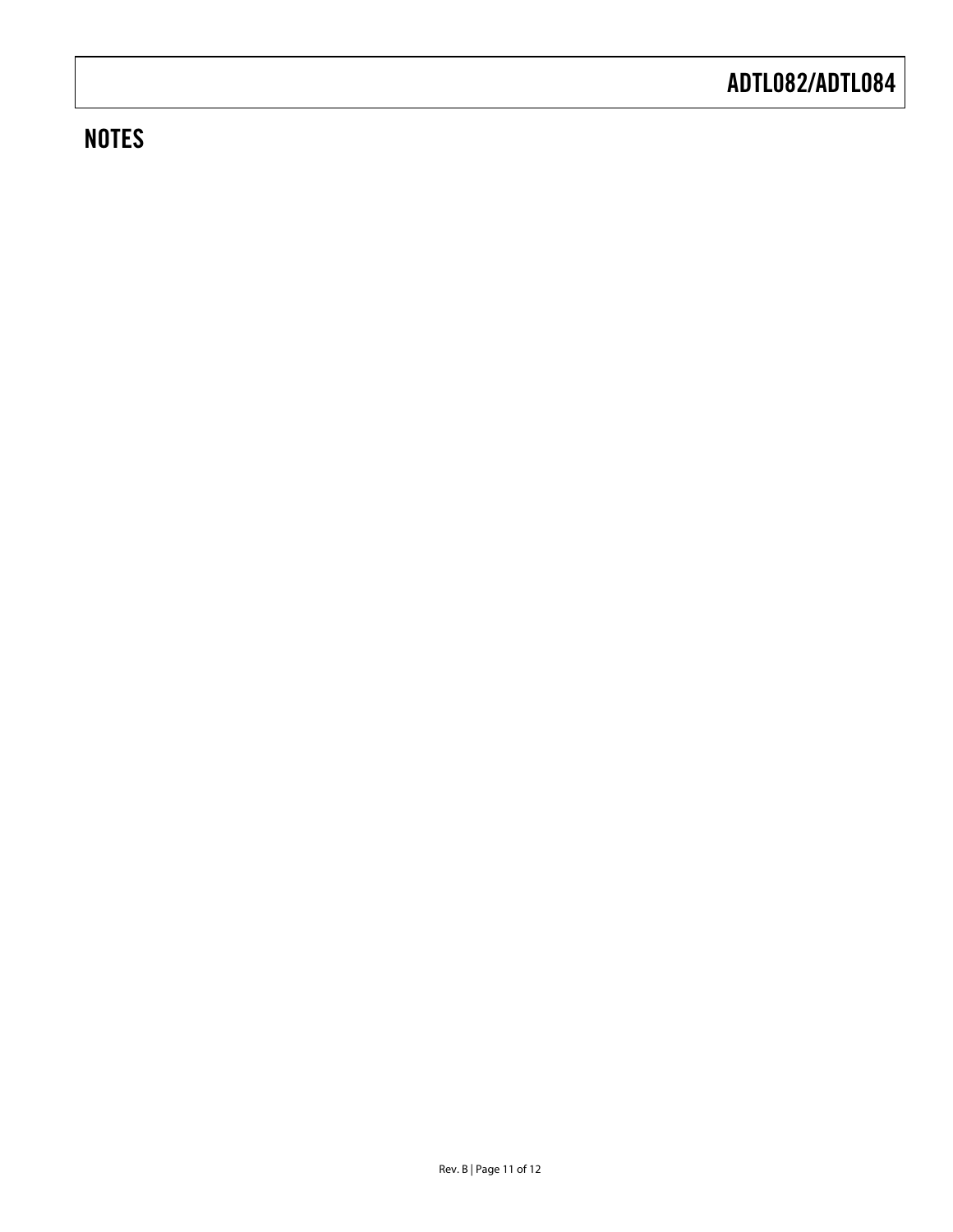### **NOTES**